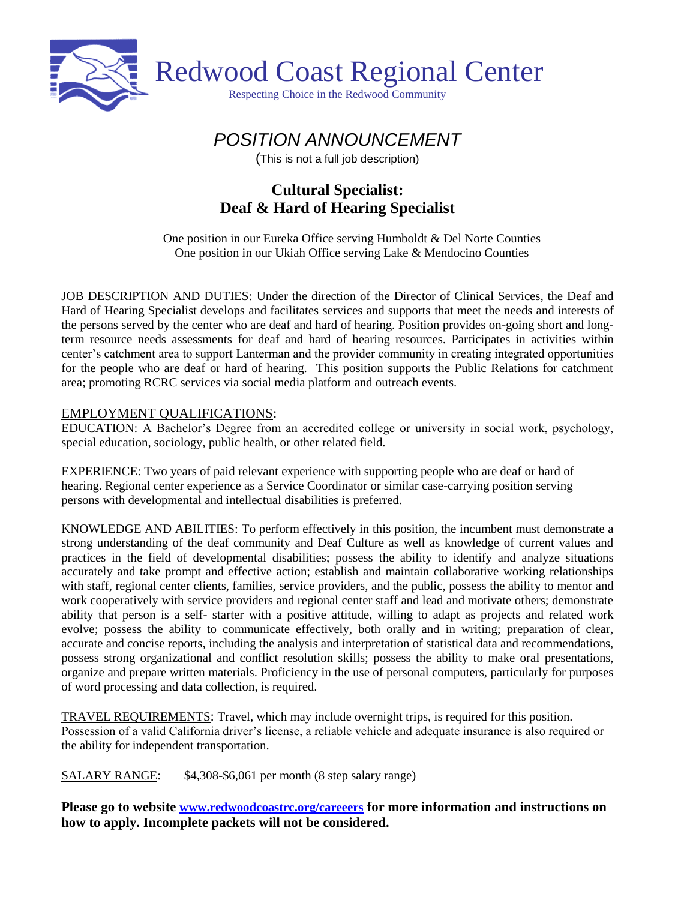

# *POSITION ANNOUNCEMENT*

(This is not a full job description)

## **Cultural Specialist: Deaf & Hard of Hearing Specialist**

One position in our Eureka Office serving Humboldt & Del Norte Counties One position in our Ukiah Office serving Lake & Mendocino Counties

JOB DESCRIPTION AND DUTIES: Under the direction of the Director of Clinical Services, the Deaf and Hard of Hearing Specialist develops and facilitates services and supports that meet the needs and interests of the persons served by the center who are deaf and hard of hearing. Position provides on-going short and longterm resource needs assessments for deaf and hard of hearing resources. Participates in activities within center's catchment area to support Lanterman and the provider community in creating integrated opportunities for the people who are deaf or hard of hearing. This position supports the Public Relations for catchment area; promoting RCRC services via social media platform and outreach events.

## EMPLOYMENT QUALIFICATIONS:

EDUCATION: A Bachelor's Degree from an accredited college or university in social work, psychology, special education, sociology, public health, or other related field.

EXPERIENCE: Two years of paid relevant experience with supporting people who are deaf or hard of hearing. Regional center experience as a Service Coordinator or similar case-carrying position serving persons with developmental and intellectual disabilities is preferred.

KNOWLEDGE AND ABILITIES: To perform effectively in this position, the incumbent must demonstrate a strong understanding of the deaf community and Deaf Culture as well as knowledge of current values and practices in the field of developmental disabilities; possess the ability to identify and analyze situations accurately and take prompt and effective action; establish and maintain collaborative working relationships with staff, regional center clients, families, service providers, and the public, possess the ability to mentor and work cooperatively with service providers and regional center staff and lead and motivate others; demonstrate ability that person is a self- starter with a positive attitude, willing to adapt as projects and related work evolve; possess the ability to communicate effectively, both orally and in writing; preparation of clear, accurate and concise reports, including the analysis and interpretation of statistical data and recommendations, possess strong organizational and conflict resolution skills; possess the ability to make oral presentations, organize and prepare written materials. Proficiency in the use of personal computers, particularly for purposes of word processing and data collection, is required.

TRAVEL REQUIREMENTS: Travel, which may include overnight trips, is required for this position. Possession of a valid California driver's license, a reliable vehicle and adequate insurance is also required or the ability for independent transportation.

SALARY RANGE: \$4,308-\$6,061 per month (8 step salary range)

**Please go to website [www.redwoodcoastrc.org/careeers](http://www.redwoodcoastrc.org/careeers) for more information and instructions on how to apply. Incomplete packets will not be considered.**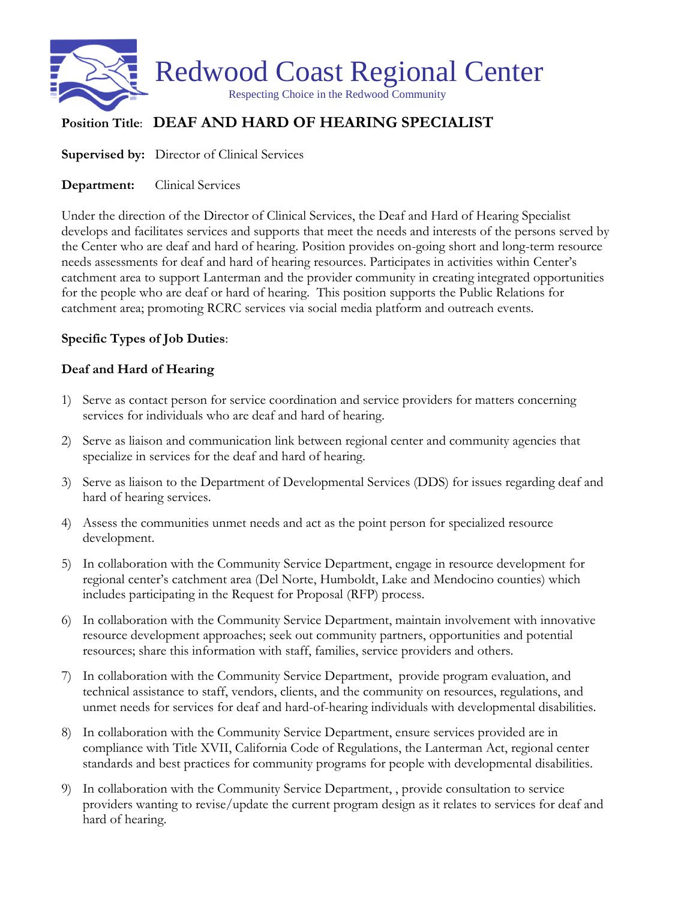

## **Position Title**: **DEAF AND HARD OF HEARING SPECIALIST**

**Supervised by:** Director of Clinical Services

**Department:** Clinical Services

Under the direction of the Director of Clinical Services, the Deaf and Hard of Hearing Specialist develops and facilitates services and supports that meet the needs and interests of the persons served by the Center who are deaf and hard of hearing. Position provides on-going short and long-term resource needs assessments for deaf and hard of hearing resources. Participates in activities within Center's catchment area to support Lanterman and the provider community in creating integrated opportunities for the people who are deaf or hard of hearing. This position supports the Public Relations for catchment area; promoting RCRC services via social media platform and outreach events.

## **Specific Types of Job Duties**:

## **Deaf and Hard of Hearing**

- 1) Serve as contact person for service coordination and service providers for matters concerning services for individuals who are deaf and hard of hearing.
- 2) Serve as liaison and communication link between regional center and community agencies that specialize in services for the deaf and hard of hearing.
- 3) Serve as liaison to the Department of Developmental Services (DDS) for issues regarding deaf and hard of hearing services.
- 4) Assess the communities unmet needs and act as the point person for specialized resource development.
- 5) In collaboration with the Community Service Department, engage in resource development for regional center's catchment area (Del Norte, Humboldt, Lake and Mendocino counties) which includes participating in the Request for Proposal (RFP) process.
- 6) In collaboration with the Community Service Department, maintain involvement with innovative resource development approaches; seek out community partners, opportunities and potential resources; share this information with staff, families, service providers and others.
- 7) In collaboration with the Community Service Department, provide program evaluation, and technical assistance to staff, vendors, clients, and the community on resources, regulations, and unmet needs for services for deaf and hard-of-hearing individuals with developmental disabilities.
- 8) In collaboration with the Community Service Department, ensure services provided are in compliance with Title XVII, California Code of Regulations, the Lanterman Act, regional center standards and best practices for community programs for people with developmental disabilities.
- 9) In collaboration with the Community Service Department, , provide consultation to service providers wanting to revise/update the current program design as it relates to services for deaf and hard of hearing.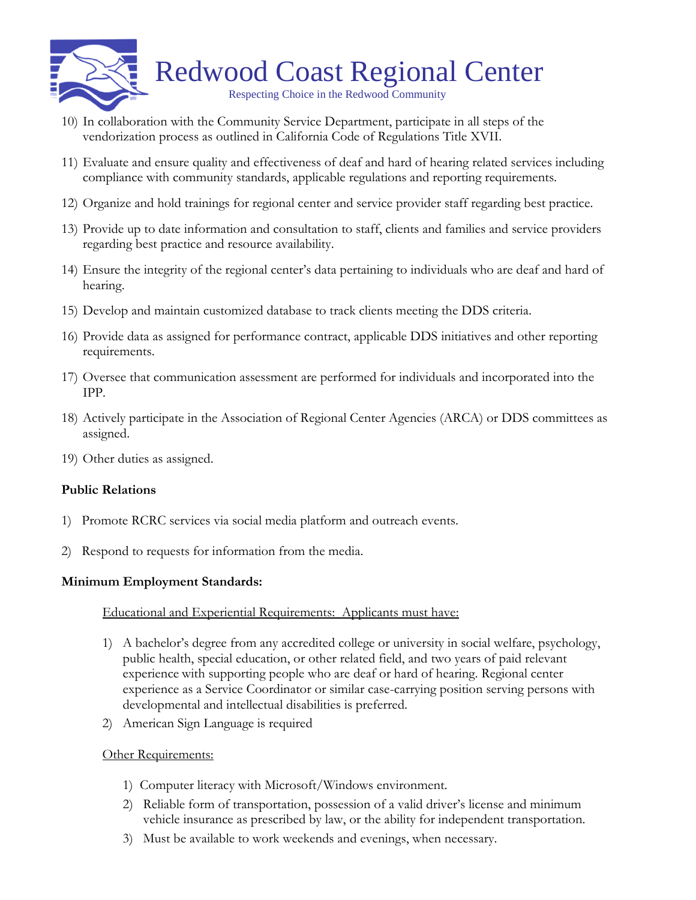

- 10) In collaboration with the Community Service Department, participate in all steps of the vendorization process as outlined in California Code of Regulations Title XVII.
- 11) Evaluate and ensure quality and effectiveness of deaf and hard of hearing related services including compliance with community standards, applicable regulations and reporting requirements.
- 12) Organize and hold trainings for regional center and service provider staff regarding best practice.
- 13) Provide up to date information and consultation to staff, clients and families and service providers regarding best practice and resource availability.
- 14) Ensure the integrity of the regional center's data pertaining to individuals who are deaf and hard of hearing.
- 15) Develop and maintain customized database to track clients meeting the DDS criteria.
- 16) Provide data as assigned for performance contract, applicable DDS initiatives and other reporting requirements.
- 17) Oversee that communication assessment are performed for individuals and incorporated into the IPP.
- 18) Actively participate in the Association of Regional Center Agencies (ARCA) or DDS committees as assigned.
- 19) Other duties as assigned.

#### **Public Relations**

- 1) Promote RCRC services via social media platform and outreach events.
- 2) Respond to requests for information from the media.

#### **Minimum Employment Standards:**

#### Educational and Experiential Requirements: Applicants must have:

- 1) A bachelor's degree from any accredited college or university in social welfare, psychology, public health, special education, or other related field, and two years of paid relevant experience with supporting people who are deaf or hard of hearing. Regional center experience as a Service Coordinator or similar case-carrying position serving persons with developmental and intellectual disabilities is preferred.
- 2) American Sign Language is required

#### **Other Requirements:**

- 1) Computer literacy with Microsoft/Windows environment.
- 2) Reliable form of transportation, possession of a valid driver's license and minimum vehicle insurance as prescribed by law, or the ability for independent transportation.
- 3) Must be available to work weekends and evenings, when necessary.